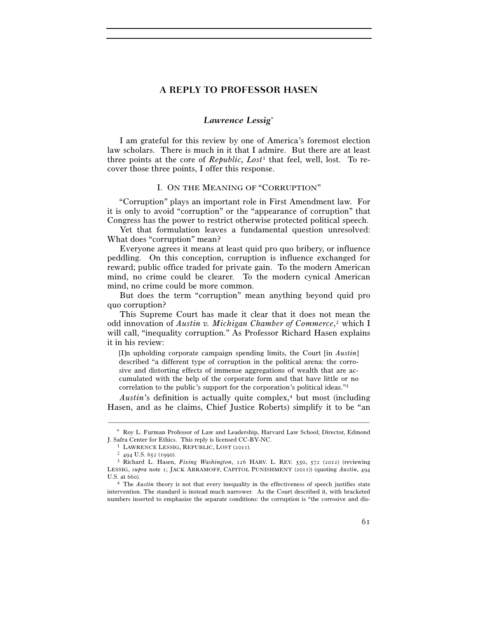# **A REPLY TO PROFESSOR HASEN**

## *Lawrence Lessig*<sup>∗</sup>

I am grateful for this review by one of America's foremost election law scholars. There is much in it that I admire. But there are at least three points at the core of *Republic, Lost*1 that feel, well, lost. To recover those three points, I offer this response.

#### I. ON THE MEANING OF "CORRUPTION"

"Corruption" plays an important role in First Amendment law. For it is only to avoid "corruption" or the "appearance of corruption" that Congress has the power to restrict otherwise protected political speech.

Yet that formulation leaves a fundamental question unresolved: What does "corruption" mean?

Everyone agrees it means at least quid pro quo bribery, or influence peddling. On this conception, corruption is influence exchanged for reward; public office traded for private gain. To the modern American mind, no crime could be clearer. To the modern cynical American mind, no crime could be more common.

But does the term "corruption" mean anything beyond quid pro quo corruption?

This Supreme Court has made it clear that it does not mean the odd innovation of *Austin v. Michigan Chamber of Commerce*, 2 which I will call, "inequality corruption." As Professor Richard Hasen explains it in his review:

[I]n upholding corporate campaign spending limits, the Court [in *Austin*] described "a different type of corruption in the political arena: the corrosive and distorting effects of immense aggregations of wealth that are accumulated with the help of the corporate form and that have little or no correlation to the public's support for the corporation's political ideas."3

*Austin*'s definition is actually quite complex,<sup>4</sup> but most (including Hasen, and as he claims, Chief Justice Roberts) simplify it to be "an

<sup>–––––––––––––––––––––––––––––––––––––––––––––––––––––––––––––</sup> ∗ Roy L. Furman Professor of Law and Leadership, Harvard Law School; Director, Edmond J. Safra Center for Ethics. This reply is licensed CC-BY-NC. 1 LAWRENCE LESSIG, REPUBLIC, LOST (2011). 2 <sup>494</sup> U.S. 652 (1990). 3 Richard L. Hasen, *Fixing Washington*, 126 HARV. L. REV. 550, 572 (2012) (reviewing

LESSIG, *supra* note 1; JACK ABRAMOFF, CAPITOL PUNISHMENT (2011)) (quoting *Austin*, 494 U.S. at 660).<br><sup>4</sup> The *Austin* theory is not that every inequality in the effectiveness of speech justifies state

intervention. The standard is instead much narrower. As the Court described it, with bracketed numbers inserted to emphasize the separate conditions: the corruption is "the corrosive and dis-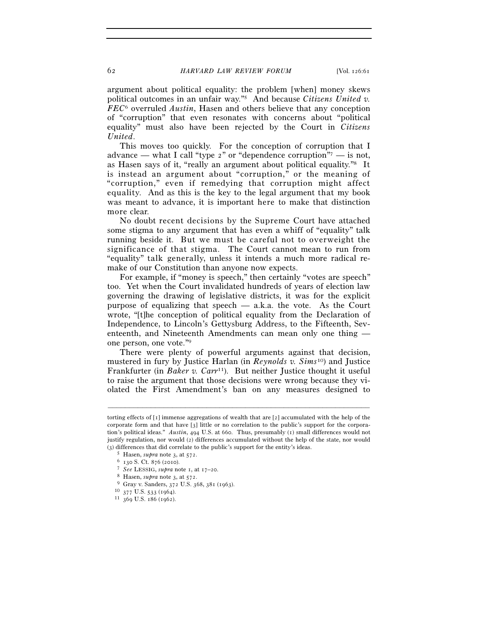argument about political equality: the problem [when] money skews political outcomes in an unfair way."5 And because *Citizens United v. FEC*6 overruled *Austin*, Hasen and others believe that any conception of "corruption" that even resonates with concerns about "political equality" must also have been rejected by the Court in *Citizens United*.

This moves too quickly. For the conception of corruption that I advance — what I call "type  $2$ " or "dependence corruption"<sup>7</sup> — is not, as Hasen says of it, "really an argument about political equality."8 It is instead an argument about "corruption," or the meaning of "corruption," even if remedying that corruption might affect equality. And as this is the key to the legal argument that my book was meant to advance, it is important here to make that distinction more clear.

No doubt recent decisions by the Supreme Court have attached some stigma to any argument that has even a whiff of "equality" talk running beside it. But we must be careful not to overweight the significance of that stigma. The Court cannot mean to run from "equality" talk generally, unless it intends a much more radical remake of our Constitution than anyone now expects.

For example, if "money is speech," then certainly "votes are speech" too. Yet when the Court invalidated hundreds of years of election law governing the drawing of legislative districts, it was for the explicit purpose of equalizing that speech — a.k.a. the vote. As the Court wrote, "[t]he conception of political equality from the Declaration of Independence, to Lincoln's Gettysburg Address, to the Fifteenth, Seventeenth, and Nineteenth Amendments can mean only one thing one person, one vote."9

There were plenty of powerful arguments against that decision, mustered in fury by Justice Harlan (in *Reynolds v. Sims*10) and Justice Frankfurter (in *Baker v. Carr*<sup>11</sup>). But neither Justice thought it useful to raise the argument that those decisions were wrong because they violated the First Amendment's ban on any measures designed to

torting effects of [1] immense aggregations of wealth that are [2] accumulated with the help of the corporate form and that have [3] little or no correlation to the public's support for the corporation's political ideas." *Austin*, 494 U.S. at 660. Thus, presumably (1) small differences would not justify regulation, nor would (2) differences accumulated without the help of the state, nor would (3) differences that did correlate to the public's support for the entity's ideas.

<sup>&</sup>lt;sup>5</sup> Hasen, *supra* note 3, at 572.<br>
<sup>6</sup> 130 S. Ct. 876 (2010).<br>
<sup>7</sup> *See* LESSIG, *supra* note 1, at 17–20.<br>
<sup>8</sup> Hasen, *supra* note 3, at 572.<br>
<sup>9</sup> Gray v. Sanders, 372 U.S. 368, 381 (1963).<br>
<sup>10</sup> 377 U.S. 533 (1964).<br>
<sup></sup>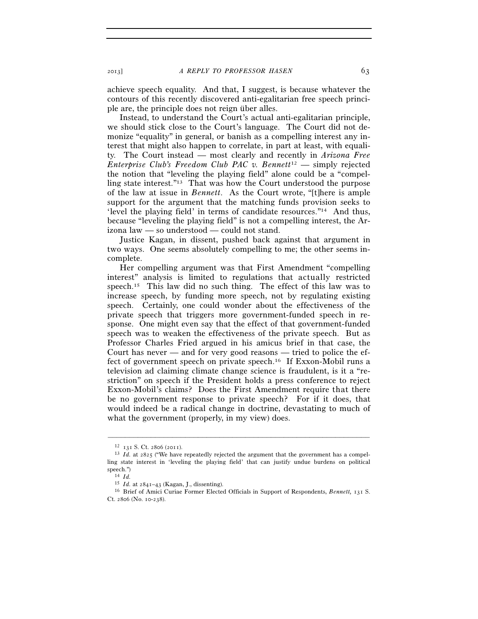2013] *A REPLY TO PROFESSOR HASEN* 63

achieve speech equality. And that, I suggest, is because whatever the contours of this recently discovered anti-egalitarian free speech principle are, the principle does not reign über alles.

Instead, to understand the Court's actual anti-egalitarian principle, we should stick close to the Court's language. The Court did not demonize "equality" in general, or banish as a compelling interest any interest that might also happen to correlate, in part at least, with equality. The Court instead — most clearly and recently in *Arizona Free Enterprise Club's Freedom Club PAC v. Bennett*12 — simply rejected the notion that "leveling the playing field" alone could be a "compelling state interest."13 That was how the Court understood the purpose of the law at issue in *Bennett*. As the Court wrote, "[t]here is ample support for the argument that the matching funds provision seeks to 'level the playing field' in terms of candidate resources."14 And thus, because "leveling the playing field" is not a compelling interest, the Arizona law — so understood — could not stand.

Justice Kagan, in dissent, pushed back against that argument in two ways. One seems absolutely compelling to me; the other seems incomplete.

Her compelling argument was that First Amendment "compelling interest" analysis is limited to regulations that actually restricted speech.15 This law did no such thing. The effect of this law was to increase speech, by funding more speech, not by regulating existing speech. Certainly, one could wonder about the effectiveness of the private speech that triggers more government-funded speech in response. One might even say that the effect of that government-funded speech was to weaken the effectiveness of the private speech. But as Professor Charles Fried argued in his amicus brief in that case, the Court has never — and for very good reasons — tried to police the effect of government speech on private speech.16 If Exxon-Mobil runs a television ad claiming climate change science is fraudulent, is it a "restriction" on speech if the President holds a press conference to reject Exxon-Mobil's claims? Does the First Amendment require that there be no government response to private speech? For if it does, that would indeed be a radical change in doctrine, devastating to much of what the government (properly, in my view) does.

<sup>&</sup>lt;sup>12</sup> 131 S. Ct. 2806 (2011).<br><sup>13</sup> *Id.* at 2825 ("We have repeatedly rejected the argument that the government has a compelling state interest in 'leveling the playing field' that can justify undue burdens on political speech.")<br>
<sup>14</sup> *Id.*<br>
<sup>15</sup> *Id.* at 2841–43 (Kagan, J., dissenting).

<sup>&</sup>lt;sup>16</sup> Brief of Amici Curiae Former Elected Officials in Support of Respondents, *Bennett*, 131 S. Ct. 2806 (No. 10-238).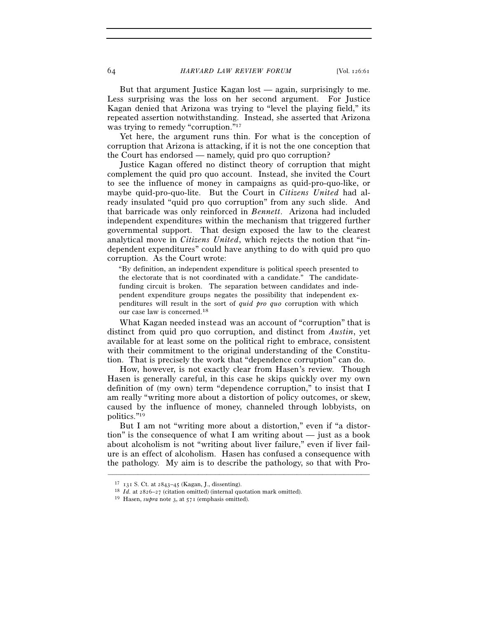But that argument Justice Kagan lost — again, surprisingly to me. Less surprising was the loss on her second argument. For Justice Kagan denied that Arizona was trying to "level the playing field," its repeated assertion notwithstanding. Instead, she asserted that Arizona was trying to remedy "corruption."<sup>17</sup>

Yet here, the argument runs thin. For what is the conception of corruption that Arizona is attacking, if it is not the one conception that the Court has endorsed — namely, quid pro quo corruption?

Justice Kagan offered no distinct theory of corruption that might complement the quid pro quo account. Instead, she invited the Court to see the influence of money in campaigns as quid-pro-quo-like, or maybe quid-pro-quo-lite. But the Court in *Citizens United* had already insulated "quid pro quo corruption" from any such slide. And that barricade was only reinforced in *Bennett*. Arizona had included independent expenditures within the mechanism that triggered further governmental support. That design exposed the law to the clearest analytical move in *Citizens United*, which rejects the notion that "independent expenditures" could have anything to do with quid pro quo corruption. As the Court wrote:

"By definition, an independent expenditure is political speech presented to the electorate that is not coordinated with a candidate." The candidatefunding circuit is broken. The separation between candidates and independent expenditure groups negates the possibility that independent expenditures will result in the sort of *quid pro quo* corruption with which our case law is concerned.18

What Kagan needed instead was an account of "corruption" that is distinct from quid pro quo corruption, and distinct from *Austin*, yet available for at least some on the political right to embrace, consistent with their commitment to the original understanding of the Constitution. That is precisely the work that "dependence corruption" can do.

How, however, is not exactly clear from Hasen's review. Though Hasen is generally careful, in this case he skips quickly over my own definition of (my own) term "dependence corruption," to insist that I am really "writing more about a distortion of policy outcomes, or skew, caused by the influence of money, channeled through lobbyists, on politics."19

But I am not "writing more about a distortion," even if "a distortion" is the consequence of what I am writing about — just as a book about alcoholism is not "writing about liver failure," even if liver failure is an effect of alcoholism. Hasen has confused a consequence with the pathology. My aim is to describe the pathology, so that with Pro-

<sup>17</sup> <sup>131</sup> S. Ct. at 2843–45 (Kagan, J., dissenting). 18 *Id.* at 2826–27 (citation omitted) (internal quotation mark omitted). 19 Hasen, *supra* note 3, at 571 (emphasis omitted).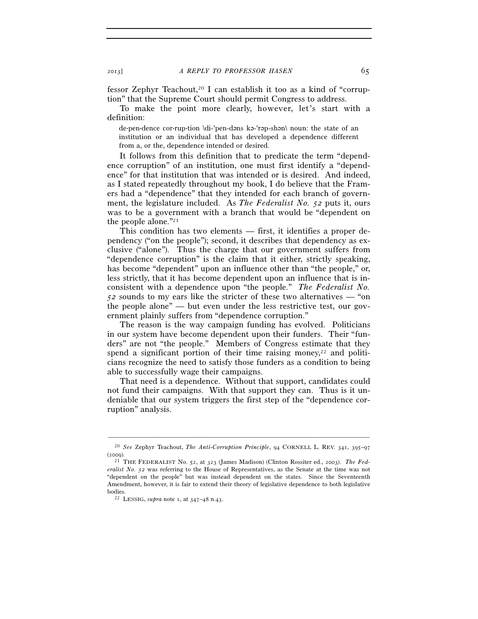fessor Zephyr Teachout,<sup>20</sup> I can establish it too as a kind of "corruption" that the Supreme Court should permit Congress to address.

To make the point more clearly, however, let's start with a definition:

de·pen·dence cor·rup·tion \di-'pen-dəns kə-'rəp-shən\ noun: the state of an institution or an individual that has developed a dependence different from a, or the, dependence intended or desired.

It follows from this definition that to predicate the term "dependence corruption" of an institution, one must first identify a "dependence" for that institution that was intended or is desired. And indeed, as I stated repeatedly throughout my book, I do believe that the Framers had a "dependence" that they intended for each branch of government, the legislature included. As *The Federalist No. 52* puts it, ours was to be a government with a branch that would be "dependent on the people alone."21

This condition has two elements — first, it identifies a proper dependency ("on the people"); second, it describes that dependency as exclusive ("alone"). Thus the charge that our government suffers from "dependence corruption" is the claim that it either, strictly speaking, has become "dependent" upon an influence other than "the people," or, less strictly, that it has become dependent upon an influence that is inconsistent with a dependence upon "the people." *The Federalist No. 52* sounds to my ears like the stricter of these two alternatives — "on the people alone" — but even under the less restrictive test, our government plainly suffers from "dependence corruption."

The reason is the way campaign funding has evolved. Politicians in our system have become dependent upon their funders. Their "funders" are not "the people." Members of Congress estimate that they spend a significant portion of their time raising money, $22$  and politicians recognize the need to satisfy those funders as a condition to being able to successfully wage their campaigns.

That need is a dependence. Without that support, candidates could not fund their campaigns. With that support they can. Thus is it undeniable that our system triggers the first step of the "dependence corruption" analysis.

<sup>–––––––––––––––––––––––––––––––––––––––––––––––––––––––––––––</sup> 20 *See* Zephyr Teachout, *The Anti-Corruption Principle*, 94 CORNELL L. REV. 341, 395–97 (2009). 21 THE FEDERALIST No. 52, at 323 (James Madison) (Clinton Rossiter ed., 2003). *The Fed-*

*eralist No. 52* was referring to the House of Representatives, as the Senate at the time was not "dependent on the people" but was instead dependent on the states. Since the Seventeenth Amendment, however, it is fair to extend their theory of legislative dependence to both legislative bodies. 22 LESSIG, *supra* note 1, at 347–48 n.43.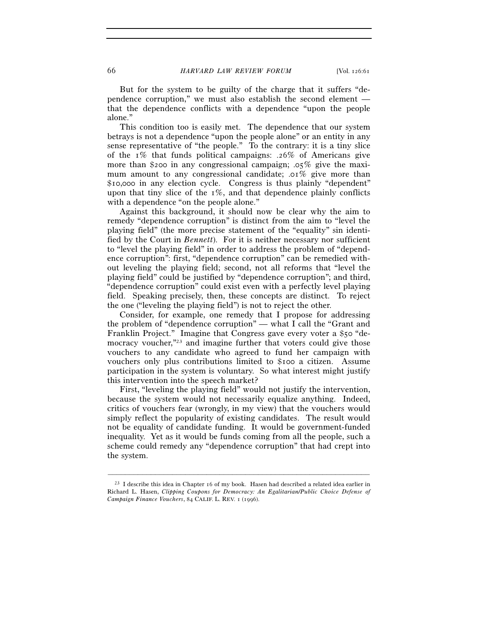But for the system to be guilty of the charge that it suffers "dependence corruption," we must also establish the second element that the dependence conflicts with a dependence "upon the people alone."

This condition too is easily met. The dependence that our system betrays is not a dependence "upon the people alone" or an entity in any sense representative of "the people." To the contrary: it is a tiny slice of the 1% that funds political campaigns: .26% of Americans give more than \$200 in any congressional campaign;  $.05\%$  give the maximum amount to any congressional candidate; .01% give more than \$10,000 in any election cycle. Congress is thus plainly "dependent" upon that tiny slice of the  $1\%$ , and that dependence plainly conflicts with a dependence "on the people alone."

Against this background, it should now be clear why the aim to remedy "dependence corruption" is distinct from the aim to "level the playing field" (the more precise statement of the "equality" sin identified by the Court in *Bennett*). For it is neither necessary nor sufficient to "level the playing field" in order to address the problem of "dependence corruption": first, "dependence corruption" can be remedied without leveling the playing field; second, not all reforms that "level the playing field" could be justified by "dependence corruption"; and third, "dependence corruption" could exist even with a perfectly level playing field. Speaking precisely, then, these concepts are distinct. To reject the one ("leveling the playing field") is not to reject the other.

Consider, for example, one remedy that I propose for addressing the problem of "dependence corruption" — what I call the "Grant and Franklin Project." Imagine that Congress gave every voter a \$50 "democracy voucher,<sup>"23</sup> and imagine further that voters could give those vouchers to any candidate who agreed to fund her campaign with vouchers only plus contributions limited to \$100 a citizen. Assume participation in the system is voluntary. So what interest might justify this intervention into the speech market?

First, "leveling the playing field" would not justify the intervention, because the system would not necessarily equalize anything. Indeed, critics of vouchers fear (wrongly, in my view) that the vouchers would simply reflect the popularity of existing candidates. The result would not be equality of candidate funding. It would be government-funded inequality. Yet as it would be funds coming from all the people, such a scheme could remedy any "dependence corruption" that had crept into the system.

 $^{23}$  I describe this idea in Chapter 16 of my book. Hasen had described a related idea earlier in Richard L. Hasen, *Clipping Coupons for Democracy: An Egalitarian/Public Choice Defense of Campaign Finance Vouchers*, 84 CALIF. L. REV. 1 (1996).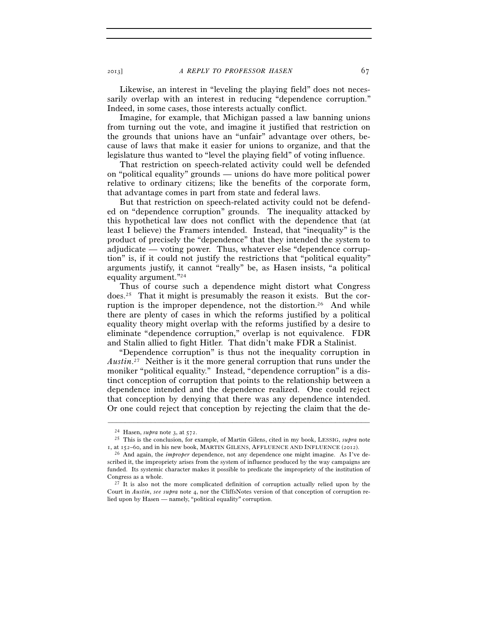Likewise, an interest in "leveling the playing field" does not necessarily overlap with an interest in reducing "dependence corruption." Indeed, in some cases, those interests actually conflict.

Imagine, for example, that Michigan passed a law banning unions from turning out the vote, and imagine it justified that restriction on the grounds that unions have an "unfair" advantage over others, because of laws that make it easier for unions to organize, and that the legislature thus wanted to "level the playing field" of voting influence.

That restriction on speech-related activity could well be defended on "political equality" grounds — unions do have more political power relative to ordinary citizens; like the benefits of the corporate form, that advantage comes in part from state and federal laws.

But that restriction on speech-related activity could not be defended on "dependence corruption" grounds. The inequality attacked by this hypothetical law does not conflict with the dependence that (at least I believe) the Framers intended. Instead, that "inequality" is the product of precisely the "dependence" that they intended the system to adjudicate — voting power. Thus, whatever else "dependence corruption" is, if it could not justify the restrictions that "political equality" arguments justify, it cannot "really" be, as Hasen insists, "a political equality argument."24

Thus of course such a dependence might distort what Congress does.25 That it might is presumably the reason it exists. But the corruption is the improper dependence, not the distortion.<sup>26</sup> And while there are plenty of cases in which the reforms justified by a political equality theory might overlap with the reforms justified by a desire to eliminate "dependence corruption," overlap is not equivalence. FDR and Stalin allied to fight Hitler. That didn't make FDR a Stalinist.

"Dependence corruption" is thus not the inequality corruption in *Austin*. 27 Neither is it the more general corruption that runs under the moniker "political equality." Instead, "dependence corruption" is a distinct conception of corruption that points to the relationship between a dependence intended and the dependence realized. One could reject that conception by denying that there was any dependence intended. Or one could reject that conception by rejecting the claim that the de-

<sup>24</sup> Hasen, *supra* note 3, at 572. 25 This is the conclusion, for example, of Martin Gilens, cited in my book, LESSIG, *supra* note <sup>1</sup>, at 152–60, and in his new book, MARTIN GILENS, AFFLUENCE AND INFLUENCE (2012). 26 And again, the *improper* dependence, not any dependence one might imagine. As I've de-

scribed it, the impropriety arises from the system of influence produced by the way campaigns are funded. Its systemic character makes it possible to predicate the impropriety of the institution of Congress as a whole.<br><sup>27</sup> It is also not the more complicated definition of corruption actually relied upon by the

Court in *Austin*, *see supra* note 4, nor the CliffsNotes version of that conception of corruption relied upon by Hasen — namely, "political equality" corruption.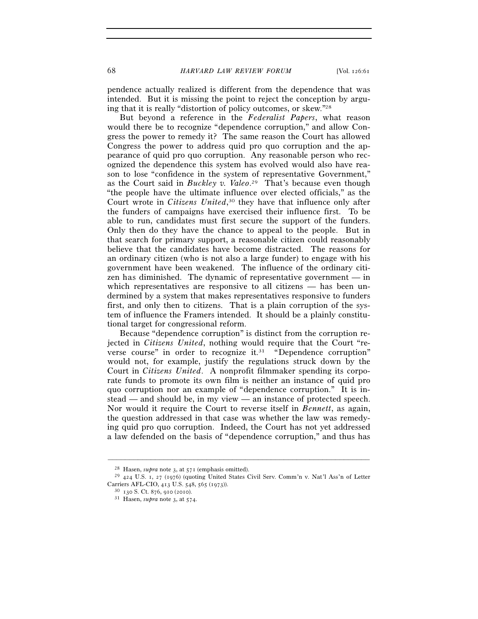68 *HARVARD LAW REVIEW FORUM* [Vol. 126:61

pendence actually realized is different from the dependence that was intended. But it is missing the point to reject the conception by arguing that it is really "distortion of policy outcomes, or skew."28

But beyond a reference in the *Federalist Papers*, what reason would there be to recognize "dependence corruption," and allow Congress the power to remedy it? The same reason the Court has allowed Congress the power to address quid pro quo corruption and the appearance of quid pro quo corruption. Any reasonable person who recognized the dependence this system has evolved would also have reason to lose "confidence in the system of representative Government," as the Court said in *Buckley v. Valeo*. 29 That's because even though "the people have the ultimate influence over elected officials," as the Court wrote in *Citizens United*, 30 they have that influence only after the funders of campaigns have exercised their influence first. To be able to run, candidates must first secure the support of the funders. Only then do they have the chance to appeal to the people. But in that search for primary support, a reasonable citizen could reasonably believe that the candidates have become distracted. The reasons for an ordinary citizen (who is not also a large funder) to engage with his government have been weakened. The influence of the ordinary citizen has diminished. The dynamic of representative government — in which representatives are responsive to all citizens — has been undermined by a system that makes representatives responsive to funders first, and only then to citizens. That is a plain corruption of the system of influence the Framers intended. It should be a plainly constitutional target for congressional reform.

Because "dependence corruption" is distinct from the corruption rejected in *Citizens United*, nothing would require that the Court "reverse course" in order to recognize it.<sup>31</sup> "Dependence corruption" would not, for example, justify the regulations struck down by the Court in *Citizens United*. A nonprofit filmmaker spending its corporate funds to promote its own film is neither an instance of quid pro quo corruption nor an example of "dependence corruption." It is instead — and should be, in my view — an instance of protected speech. Nor would it require the Court to reverse itself in *Bennett*, as again, the question addressed in that case was whether the law was remedying quid pro quo corruption. Indeed, the Court has not yet addressed a law defended on the basis of "dependence corruption," and thus has

<sup>&</sup>lt;sup>28</sup> Hasen, *supra* note 3, at  $571$  (emphasis omitted).<br><sup>29</sup> 424 U.S. 1, 27 (1976) (quoting United States Civil Serv. Comm'n v. Nat'l Ass'n of Letter Carriers AFL-CIO, 413 U.S. 548, 565 (1973)). 30 <sup>130</sup> S. Ct. 876, 910 (2010). 31 Hasen, *supra* note 3, at 574.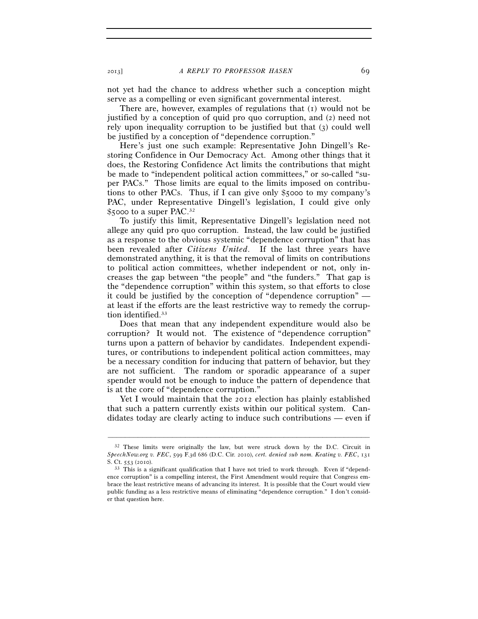not yet had the chance to address whether such a conception might serve as a compelling or even significant governmental interest.

There are, however, examples of regulations that (1) would not be justified by a conception of quid pro quo corruption, and (2) need not rely upon inequality corruption to be justified but that (3) could well be justified by a conception of "dependence corruption."

Here's just one such example: Representative John Dingell's Restoring Confidence in Our Democracy Act. Among other things that it does, the Restoring Confidence Act limits the contributions that might be made to "independent political action committees," or so-called "super PACs." Those limits are equal to the limits imposed on contributions to other PACs. Thus, if I can give only \$5000 to my company's PAC, under Representative Dingell's legislation, I could give only \$5000 to a super PAC.32

To justify this limit, Representative Dingell's legislation need not allege any quid pro quo corruption. Instead, the law could be justified as a response to the obvious systemic "dependence corruption" that has been revealed after *Citizens United*. If the last three years have demonstrated anything, it is that the removal of limits on contributions to political action committees, whether independent or not, only increases the gap between "the people" and "the funders." That gap is the "dependence corruption" within this system, so that efforts to close it could be justified by the conception of "dependence corruption" at least if the efforts are the least restrictive way to remedy the corruption identified.<sup>33</sup>

Does that mean that any independent expenditure would also be corruption? It would not. The existence of "dependence corruption" turns upon a pattern of behavior by candidates. Independent expenditures, or contributions to independent political action committees, may be a necessary condition for inducing that pattern of behavior, but they are not sufficient. The random or sporadic appearance of a super spender would not be enough to induce the pattern of dependence that is at the core of "dependence corruption."

Yet I would maintain that the 2012 election has plainly established that such a pattern currently exists within our political system. Candidates today are clearly acting to induce such contributions — even if

<sup>32</sup> These limits were originally the law, but were struck down by the D.C. Circuit in *SpeechNow.org v. FEC*, 599 F.3d 686 (D.C. Cir. 2010), *cert. denied sub nom. Keating v. FEC*, 131 S. Ct. 553 (2010).<br><sup>33</sup> This is a significant qualification that I have not tried to work through. Even if "depend-

ence corruption" is a compelling interest, the First Amendment would require that Congress embrace the least restrictive means of advancing its interest. It is possible that the Court would view public funding as a less restrictive means of eliminating "dependence corruption." I don't consider that question here.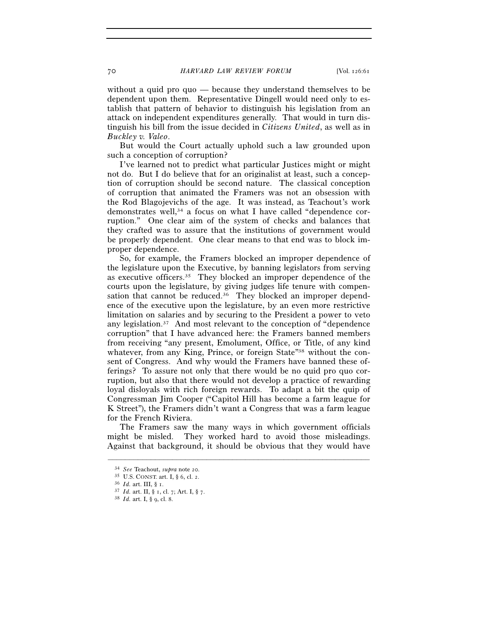70 *HARVARD LAW REVIEW FORUM* [Vol. 126:61

without a quid pro quo — because they understand themselves to be dependent upon them. Representative Dingell would need only to establish that pattern of behavior to distinguish his legislation from an attack on independent expenditures generally. That would in turn distinguish his bill from the issue decided in *Citizens United*, as well as in *Buckley v. Valeo*.

But would the Court actually uphold such a law grounded upon such a conception of corruption?

I've learned not to predict what particular Justices might or might not do. But I do believe that for an originalist at least, such a conception of corruption should be second nature. The classical conception of corruption that animated the Framers was not an obsession with the Rod Blagojevichs of the age. It was instead, as Teachout's work demonstrates well,<sup>34</sup> a focus on what I have called "dependence corruption." One clear aim of the system of checks and balances that they crafted was to assure that the institutions of government would be properly dependent. One clear means to that end was to block improper dependence.

So, for example, the Framers blocked an improper dependence of the legislature upon the Executive, by banning legislators from serving as executive officers.35 They blocked an improper dependence of the courts upon the legislature, by giving judges life tenure with compensation that cannot be reduced.<sup>36</sup> They blocked an improper dependence of the executive upon the legislature, by an even more restrictive limitation on salaries and by securing to the President a power to veto any legislation.<sup>37</sup> And most relevant to the conception of "dependence" corruption" that I have advanced here: the Framers banned members from receiving "any present, Emolument, Office, or Title, of any kind whatever, from any King, Prince, or foreign State"<sup>38</sup> without the consent of Congress. And why would the Framers have banned these offerings? To assure not only that there would be no quid pro quo corruption, but also that there would not develop a practice of rewarding loyal disloyals with rich foreign rewards. To adapt a bit the quip of Congressman Jim Cooper ("Capitol Hill has become a farm league for K Street"), the Framers didn't want a Congress that was a farm league for the French Riviera.

The Framers saw the many ways in which government officials might be misled. They worked hard to avoid those misleadings. Against that background, it should be obvious that they would have

<sup>34</sup> *See* Teachout, *supra* note 20. 35 U.S. CONST. art. I, § 6, cl. 2. 36 *Id.* art. III, § 1. 37 *Id.* art. II, § 1, cl. 7; Art. I, § 7. 38 *Id.* art. I, § 9, cl. 8.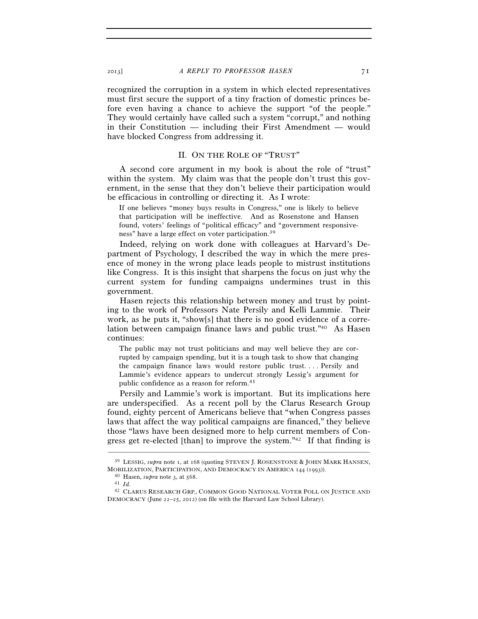recognized the corruption in a system in which elected representatives must first secure the support of a tiny fraction of domestic princes before even having a chance to achieve the support "of the people." They would certainly have called such a system "corrupt," and nothing in their Constitution — including their First Amendment — would have blocked Congress from addressing it.

### II. ON THE ROLE OF "TRUST"

A second core argument in my book is about the role of "trust" within the system. My claim was that the people don't trust this government, in the sense that they don't believe their participation would be efficacious in controlling or directing it. As I wrote:

If one believes "money buys results in Congress," one is likely to believe that participation will be ineffective. And as Rosenstone and Hansen found, voters' feelings of "political efficacy" and "government responsiveness" have a large effect on voter participation.39

Indeed, relying on work done with colleagues at Harvard's Department of Psychology, I described the way in which the mere presence of money in the wrong place leads people to mistrust institutions like Congress. It is this insight that sharpens the focus on just why the current system for funding campaigns undermines trust in this government.

Hasen rejects this relationship between money and trust by pointing to the work of Professors Nate Persily and Kelli Lammie. Their work, as he puts it, "show[s] that there is no good evidence of a correlation between campaign finance laws and public trust."40 As Hasen continues:

The public may not trust politicians and may well believe they are corrupted by campaign spending, but it is a tough task to show that changing the campaign finance laws would restore public trust. . . . Persily and Lammie's evidence appears to undercut strongly Lessig's argument for public confidence as a reason for reform.41

Persily and Lammie's work is important. But its implications here are underspecified. As a recent poll by the Clarus Research Group found, eighty percent of Americans believe that "when Congress passes laws that affect the way political campaigns are financed," they believe those "laws have been designed more to help current members of Congress get re-elected [than] to improve the system."42 If that finding is

<sup>–––––––––––––––––––––––––––––––––––––––––––––––––––––––––––––</sup> 39 LESSIG, *supra* note 1, at 168 (quoting STEVEN J. ROSENSTONE & JOHN MARK HANSEN, MOBILIZATION, PARTICIPATION, AND DEMOCRACY IN AMERICA <sup>144</sup> (1993)). 40 Hasen, *supra* note <sup>3</sup>, at 568. 41 *Id.*

<sup>42</sup> CLARUS RESEARCH GRP., COMMON GOOD NATIONAL VOTER POLL ON JUSTICE AND DEMOCRACY (June 22–25, 2012) (on file with the Harvard Law School Library).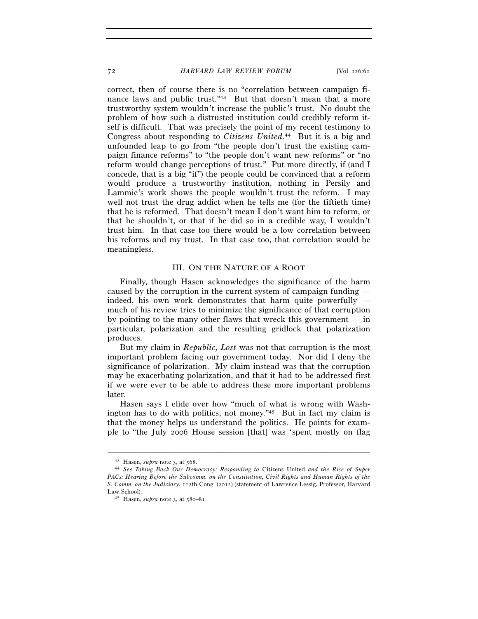72 *HARVARD LAW REVIEW FORUM* [Vol. 126:61

correct, then of course there is no "correlation between campaign finance laws and public trust."<sup>43</sup> But that doesn't mean that a more trustworthy system wouldn't increase the public's trust. No doubt the problem of how such a distrusted institution could credibly reform itself is difficult. That was precisely the point of my recent testimony to Congress about responding to *Citizens United*. 44 But it is a big and unfounded leap to go from "the people don't trust the existing campaign finance reforms" to "the people don't want new reforms" or "no reform would change perceptions of trust." Put more directly, if (and I concede, that is a big "if") the people could be convinced that a reform would produce a trustworthy institution, nothing in Persily and Lammie's work shows the people wouldn't trust the reform. I may well not trust the drug addict when he tells me (for the fiftieth time) that he is reformed. That doesn't mean I don't want him to reform, or that he shouldn't, or that if he did so in a credible way, I wouldn't trust him. In that case too there would be a low correlation between his reforms and my trust. In that case too, that correlation would be meaningless.

#### III. ON THE NATURE OF A ROOT

Finally, though Hasen acknowledges the significance of the harm caused by the corruption in the current system of campaign funding indeed, his own work demonstrates that harm quite powerfully much of his review tries to minimize the significance of that corruption by pointing to the many other flaws that wreck this government — in particular, polarization and the resulting gridlock that polarization produces.

But my claim in *Republic, Lost* was not that corruption is the most important problem facing our government today. Nor did I deny the significance of polarization. My claim instead was that the corruption may be exacerbating polarization, and that it had to be addressed first if we were ever to be able to address these more important problems later.

Hasen says I elide over how "much of what is wrong with Washington has to do with politics, not money."45 But in fact my claim is that the money helps us understand the politics. He points for example to "the July 2006 House session [that] was 'spent mostly on flag

<sup>43</sup> Hasen, *supra* note 3, at 568. 44 *See Taking Back Our Democracy: Responding to* Citizens United *and the Rise of Super PACs: Hearing Before the Subcomm. on the Constitution, Civil Rights and Human Rights of the S. Comm. on the Judiciary*, 112th Cong. (2012) (statement of Lawrence Lessig, Professor, Harvard Law School). 45 Hasen, *supra* note 3, at 580–81.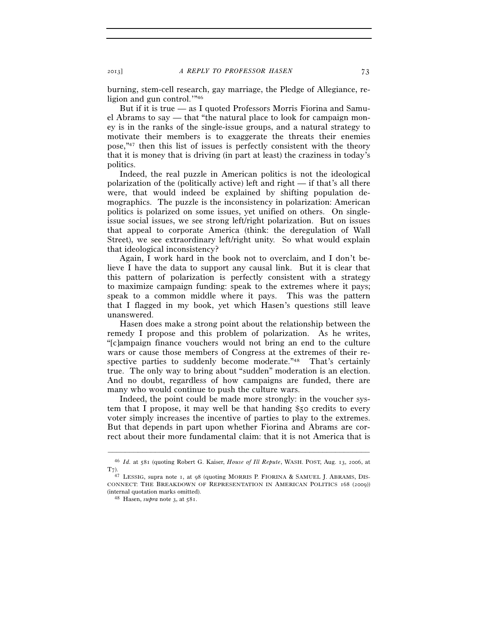burning, stem-cell research, gay marriage, the Pledge of Allegiance, religion and gun control.'"46

But if it is true — as I quoted Professors Morris Fiorina and Samuel Abrams to say — that "the natural place to look for campaign money is in the ranks of the single-issue groups, and a natural strategy to motivate their members is to exaggerate the threats their enemies pose,"47 then this list of issues is perfectly consistent with the theory that it is money that is driving (in part at least) the craziness in today's politics.

Indeed, the real puzzle in American politics is not the ideological polarization of the (politically active) left and right  $-$  if that's all there were, that would indeed be explained by shifting population demographics. The puzzle is the inconsistency in polarization: American politics is polarized on some issues, yet unified on others. On singleissue social issues, we see strong left/right polarization. But on issues that appeal to corporate America (think: the deregulation of Wall Street), we see extraordinary left/right unity. So what would explain that ideological inconsistency?

Again, I work hard in the book not to overclaim, and I don't believe I have the data to support any causal link. But it is clear that this pattern of polarization is perfectly consistent with a strategy to maximize campaign funding: speak to the extremes where it pays; speak to a common middle where it pays. This was the pattern that I flagged in my book, yet which Hasen's questions still leave unanswered.

Hasen does make a strong point about the relationship between the remedy I propose and this problem of polarization. As he writes, "[c]ampaign finance vouchers would not bring an end to the culture wars or cause those members of Congress at the extremes of their respective parties to suddenly become moderate."<sup>48</sup> That's certainly true. The only way to bring about "sudden" moderation is an election. And no doubt, regardless of how campaigns are funded, there are many who would continue to push the culture wars.

Indeed, the point could be made more strongly: in the voucher system that I propose, it may well be that handing \$50 credits to every voter simply increases the incentive of parties to play to the extremes. But that depends in part upon whether Fiorina and Abrams are correct about their more fundamental claim: that it is not America that is

<sup>–––––––––––––––––––––––––––––––––––––––––––––––––––––––––––––</sup> 46 *Id.* at 581 (quoting Robert G. Kaiser, *House of Ill Repute*, WASH. POST, Aug. 13, 2006, at  $T_{7}$ ).

<sup>47</sup> LESSIG, supra note 1, at 98 (quoting MORRIS P. FIORINA & SAMUEL J. ABRAMS, DIS-CONNECT: THE BREAKDOWN OF REPRESENTATION IN AMERICAN POLITICS 168 (2009)) (internal quotation marks omitted).

<sup>&</sup>lt;sup>48</sup> Hasen, *supra* note 3, at 581.